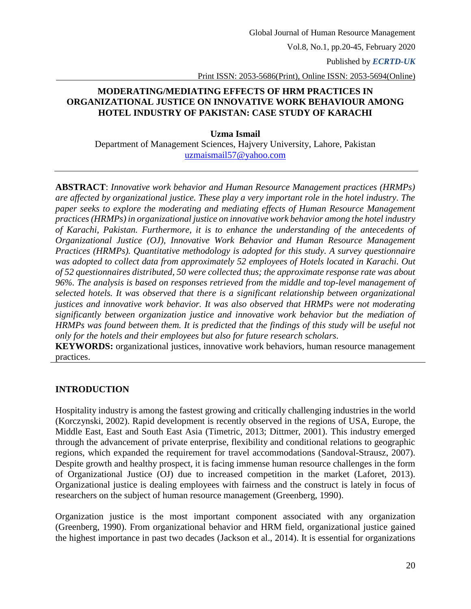Published by *ECRTD-UK* 

Print ISSN: 2053-5686(Print), Online ISSN: 2053-5694(Online)

### **MODERATING/MEDIATING EFFECTS OF HRM PRACTICES IN ORGANIZATIONAL JUSTICE ON INNOVATIVE WORK BEHAVIOUR AMONG HOTEL INDUSTRY OF PAKISTAN: CASE STUDY OF KARACHI**

**Uzma Ismail**

Department of Management Sciences, Hajvery University, Lahore, Pakistan [uzmaismail57@yahoo.com](mailto:uzmaismail57@yahoo.com)

**ABSTRACT**: *Innovative work behavior and Human Resource Management practices (HRMPs) are affected by organizational justice. These play a very important role in the hotel industry. The paper seeks to explore the moderating and mediating effects of Human Resource Management practices (HRMPs) in organizational justice on innovative work behavior among the hotel industry of Karachi, Pakistan. Furthermore, it is to enhance the understanding of the antecedents of Organizational Justice (OJ), Innovative Work Behavior and Human Resource Management Practices (HRMPs). Quantitative methodology is adopted for this study. A survey questionnaire was adopted to collect data from approximately 52 employees of Hotels located in Karachi. Out of 52 questionnaires distributed, 50 were collected thus; the approximate response rate was about 96%. The analysis is based on responses retrieved from the middle and top-level management of selected hotels. It was observed that there is a significant relationship between organizational justices and innovative work behavior. It was also observed that HRMPs were not moderating significantly between organization justice and innovative work behavior but the mediation of HRMPs was found between them. It is predicted that the findings of this study will be useful not only for the hotels and their employees but also for future research scholars.*

**KEYWORDS:** organizational justices, innovative work behaviors, human resource management practices.

### **INTRODUCTION**

Hospitality industry is among the fastest growing and critically challenging industries in the world (Korczynski, 2002). Rapid development is recently observed in the regions of USA, Europe, the Middle East, East and South East Asia (Timetric, 2013; Dittmer, 2001). This industry emerged through the advancement of private enterprise, flexibility and conditional relations to geographic regions, which expanded the requirement for travel accommodations (Sandoval-Strausz, 2007). Despite growth and healthy prospect, it is facing immense human resource challenges in the form of Organizational Justice (OJ) due to increased competition in the market [\(Laforet, 2013\)](#page-20-0). Organizational justice is dealing employees with fairness and the construct is lately in focus of researchers on the subject of human resource management (Greenberg, 1990).

Organization justice is the most important component associated with any organization (Greenberg, 1990). From organizational behavior and HRM field, organizational justice gained the highest importance in past two decades (Jackson et al., 2014). It is essential for organizations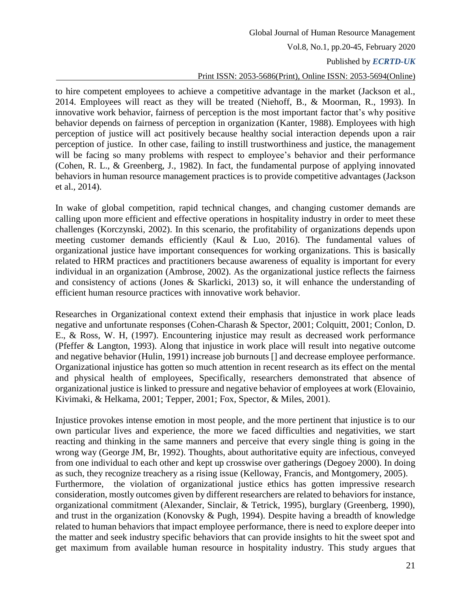### Published by *ECRTD-UK*

### Print ISSN: 2053-5686(Print), Online ISSN: 2053-5694(Online)

to hire competent employees to achieve a competitive advantage in the market (Jackson et al., 2014. Employees will react as they will be treated (Niehoff, B., & Moorman, R., 1993). In innovative work behavior, fairness of perception is the most important factor that's why positive behavior depends on fairness of perception in organization (Kanter, 1988). Employees with high perception of justice will act positively because healthy social interaction depends upon a rair perception of justice. In other case, failing to instill trustworthiness and justice, the management will be facing so many problems with respect to employee's behavior and their performance (Cohen, R. L., & Greenberg, J., 1982). In fact, the fundamental purpose of applying innovated behaviors in human resource management practices is to provide competitive advantages (Jackson et al., 2014).

In wake of global competition, rapid technical changes, and changing customer demands are calling upon more efficient and effective operations in hospitality industry in order to meet these challenges (Korczynski, 2002). In this scenario, the profitability of organizations depends upon meeting customer demands efficiently (Kaul & Luo, 2016). The fundamental values of organizational justice have important consequences for working organizations. This is basically related to HRM practices and practitioners because awareness of equality is important for every individual in an organization (Ambrose, 2002). As the organizational justice reflects the fairness and consistency of actions (Jones & Skarlicki, 2013) so, it will enhance the understanding of efficient human resource practices with innovative work behavior.

Researches in Organizational context extend their emphasis that injustice in work place leads negative and unfortunate responses (Cohen-Charash & Spector, 2001; Colquitt, 2001; Conlon, D. E., & Ross, W. H, (1997). Encountering injustice may result as decreased work performance (Pfeffer & Langton, 1993). Along that injustice in work place will result into negative outcome and negative behavior (Hulin, 1991) increase job burnouts [] and decrease employee performance. Organizational injustice has gotten so much attention in recent research as its effect on the mental and physical health of employees, Specifically, researchers demonstrated that absence of organizational justice is linked to pressure and negative behavior of employees at work (Elovainio, Kivimaki, & Helkama, 2001; Tepper, 2001; Fox, Spector, & Miles, 2001).

Injustice provokes intense emotion in most people, and the more pertinent that injustice is to our own particular lives and experience, the more we faced difficulties and negativities, we start reacting and thinking in the same manners and perceive that every single thing is going in the wrong way (George JM, Br, 1992). Thoughts, about authoritative equity are infectious, conveyed from one individual to each other and kept up crosswise over gatherings (Degoey 2000). In doing as such, they recognize treachery as a rising issue (Kelloway, Francis, and Montgomery, 2005). Furthermore, the violation of organizational justice ethics has gotten impressive research consideration, mostly outcomes given by different researchers are related to behaviors for instance, organizational commitment (Alexander, Sinclair, & Tetrick, 1995), burglary (Greenberg, 1990), and trust in the organization (Konovsky & Pugh, 1994). Despite having a breadth of knowledge related to human behaviors that impact employee performance, there is need to explore deeper into the matter and seek industry specific behaviors that can provide insights to hit the sweet spot and get maximum from available human resource in hospitality industry. This study argues that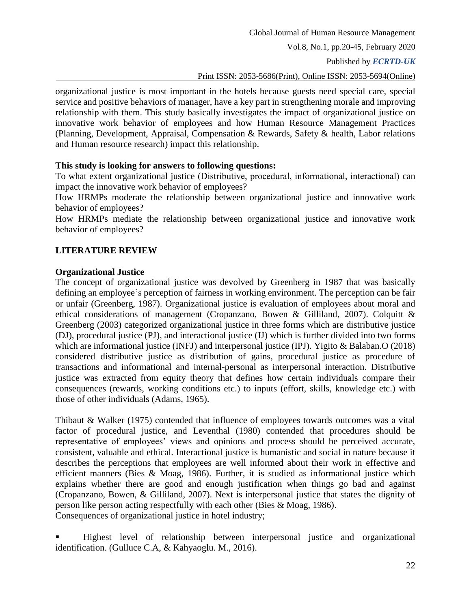Published by *ECRTD-UK* 

#### Print ISSN: 2053-5686(Print), Online ISSN: 2053-5694(Online)

organizational justice is most important in the hotels because guests need special care, special service and positive behaviors of manager, have a key part in strengthening morale and improving relationship with them. This study basically investigates the impact of organizational justice on innovative work behavior of employees and how Human Resource Management Practices (Planning, Development, Appraisal, Compensation & Rewards, Safety & health, Labor relations and Human resource research) impact this relationship.

### **This study is looking for answers to following questions:**

To what extent organizational justice (Distributive, procedural, informational, interactional) can impact the innovative work behavior of employees?

How HRMPs moderate the relationship between organizational justice and innovative work behavior of employees?

How HRMPs mediate the relationship between organizational justice and innovative work behavior of employees?

### **LITERATURE REVIEW**

#### **Organizational Justice**

The concept of organizational justice was devolved by Greenberg in 1987 that was basically defining an employee's perception of fairness in working environment. The perception can be fair or unfair (Greenberg, 1987). Organizational justice is evaluation of employees about moral and ethical considerations of management (Cropanzano, Bowen & Gilliland, 2007). Colquitt & Greenberg (2003) categorized organizational justice in three forms which are distributive justice (DJ), procedural justice (PJ), and interactional justice (IJ) which is further divided into two forms which are informational justice (INFJ) and interpersonal justice (IPJ). Yigito & Balaban.O (2018) considered distributive justice as distribution of gains, procedural justice as procedure of transactions and informational and internal-personal as interpersonal interaction. Distributive justice was extracted from equity theory that defines how certain individuals compare their consequences (rewards, working conditions etc.) to inputs (effort, skills, knowledge etc.) with those of other individuals (Adams, 1965).

Thibaut & Walker (1975) contended that influence of employees towards outcomes was a vital factor of procedural justice, and Leventhal (1980) contended that procedures should be representative of employees' views and opinions and process should be perceived accurate, consistent, valuable and ethical. Interactional justice is humanistic and social in nature because it describes the perceptions that employees are well informed about their work in effective and efficient manners (Bies & Moag, 1986). Further, it is studied as informational justice which explains whether there are good and enough justification when things go bad and against (Cropanzano, Bowen, & Gilliland, 2007). Next is interpersonal justice that states the dignity of person like person acting respectfully with each other (Bies & Moag, 1986). Consequences of organizational justice in hotel industry;

 Highest level of relationship between interpersonal justice and organizational identification. (Gulluce C.A, & Kahyaoglu. M., 2016).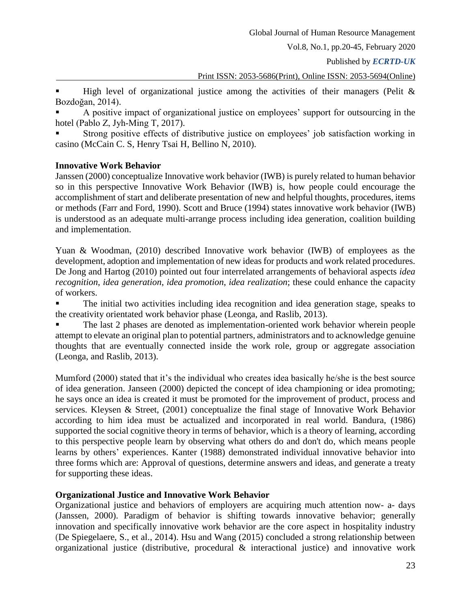Published by *ECRTD-UK* 

### Print ISSN: 2053-5686(Print), Online ISSN: 2053-5694(Online)

High level of organizational justice among the activities of their managers (Pelit  $\&$ Bozdoğan, 2014).

 A positive impact of organizational justice on employees' support for outsourcing in the hotel (Pablo Z, Jyh-Ming T, 2017).

 Strong positive effects of distributive justice on employees' job satisfaction working in casino (McCain C. S, Henry Tsai H, Bellino N, 2010).

#### **Innovative Work Behavior**

Janssen (2000) conceptualize Innovative work behavior (IWB) is purely related to human behavior so in this perspective Innovative Work Behavior (IWB) is, how people could encourage the accomplishment of start and deliberate presentation of new and helpful thoughts, procedures, items or methods (Farr and Ford, 1990). Scott and Bruce (1994) states innovative work behavior (IWB) is understood as an adequate multi-arrange process including idea generation, coalition building and implementation.

Yuan & Woodman, (2010) described Innovative work behavior (IWB) of employees as the development, adoption and implementation of new ideas for products and work related procedures. De Jong and Hartog (2010) pointed out four interrelated arrangements of behavioral aspects *idea recognition*, *idea generation*, *idea promotion*, *idea realization*; these could enhance the capacity of workers.

 The initial two activities including idea recognition and idea generation stage, speaks to the creativity orientated work behavior phase (Leonga, and Raslib, 2013).

 The last 2 phases are denoted as implementation-oriented work behavior wherein people attempt to elevate an original plan to potential partners, administrators and to acknowledge genuine thoughts that are eventually connected inside the work role, group or aggregate association (Leonga, and Raslib, 2013).

Mumford (2000) stated that it's the individual who creates idea basically he/she is the best source of idea generation. Janseen (2000) depicted the concept of idea championing or idea promoting; he says once an idea is created it must be promoted for the improvement of product, process and services. Kleysen & Street, (2001) conceptualize the final stage of Innovative Work Behavior according to him idea must be actualized and incorporated in real world. Bandura, (1986) supported the social cognitive theory in terms of behavior, which is a theory of learning, according to this perspective people learn by observing what others do and don't do, which means people learns by others' experiences. Kanter (1988) demonstrated individual innovative behavior into three forms which are: Approval of questions, determine answers and ideas, and generate a treaty for supporting these ideas.

### **Organizational Justice and Innovative Work Behavior**

Organizational justice and behaviors of employers are acquiring much attention now- a- days (Janssen, 2000). Paradigm of behavior is shifting towards innovative behavior; generally innovation and specifically innovative work behavior are the core aspect in hospitality industry (De Spiegelaere, S., et al., 2014). Hsu and Wang (2015) concluded a strong relationship between organizational justice (distributive, procedural & interactional justice) and innovative work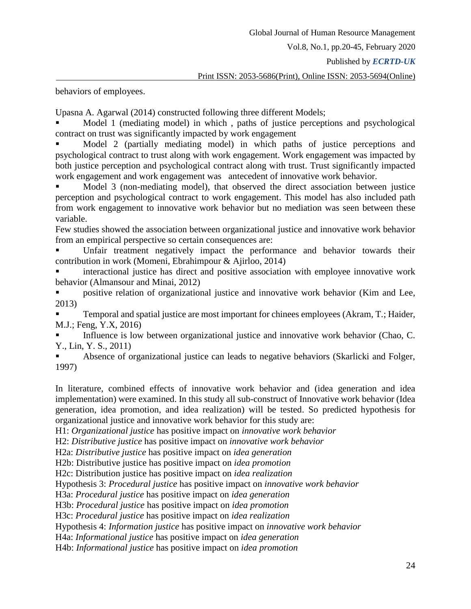Published by *ECRTD-UK* 

behaviors of employees.

Upasna A. Agarwal (2014) constructed following three different Models;

 Model 1 (mediating model) in which , paths of justice perceptions and psychological contract on trust was significantly impacted by work engagement

 Model 2 (partially mediating model) in which paths of justice perceptions and psychological contract to trust along with work engagement. Work engagement was impacted by both justice perception and psychological contract along with trust. Trust significantly impacted work engagement and work engagement was antecedent of innovative work behavior.

 Model 3 (non-mediating model), that observed the direct association between justice perception and psychological contract to work engagement. This model has also included path from work engagement to innovative work behavior but no mediation was seen between these variable.

Few studies showed the association between organizational justice and innovative work behavior from an empirical perspective so certain consequences are:

 Unfair treatment negatively impact the performance and behavior towards their contribution in work (Momeni, Ebrahimpour & Ajirloo, 2014)

 interactional justice has direct and positive association with employee innovative work behavior (Almansour and Minai, 2012)

 positive relation of organizational justice and innovative work behavior (Kim and Lee, 2013)

 Temporal and spatial justice are most important for chinees employees (Akram, T.; Haider, M.J.; Feng, Y.X, 2016)

 Influence is low between organizational justice and innovative work behavior (Chao, C. Y., Lin, Y. S., 2011)

 Absence of organizational justice can leads to negative behaviors (Skarlicki and Folger, 1997)

In literature, combined effects of innovative work behavior and (idea generation and idea implementation) were examined. In this study all sub-construct of Innovative work behavior (Idea generation, idea promotion, and idea realization) will be tested. So predicted hypothesis for organizational justice and innovative work behavior for this study are:

H1: *Organizational justice* has positive impact on *innovative work behavior*

H2: *Distributive justice* has positive impact on *innovative work behavior*

H2a: *Distributive justice* has positive impact on *idea generation*

H2b: Distributive justice has positive impact on *idea promotion*

H2c: Distribution justice has positive impact on *idea realization*

Hypothesis 3: *Procedural justice* has positive impact on *innovative work behavior*

H3a: *Procedural justice* has positive impact on *idea generation*

H3b: *Procedural justice* has positive impact on *idea promotion*

H3c: *Procedural justice* has positive impact on *idea realization*

Hypothesis 4: *Information justice* has positive impact on *innovative work behavior*

H4a: *Informational justice* has positive impact on *idea generation*

H4b: *Informational justice* has positive impact on *idea promotion*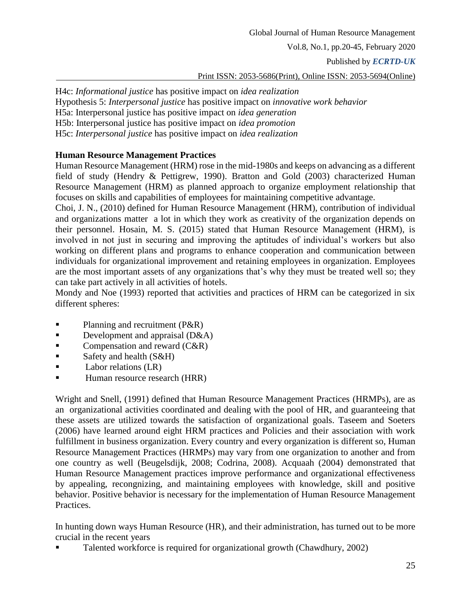Published by *ECRTD-UK* 

Print ISSN: 2053-5686(Print), Online ISSN: 2053-5694(Online)

H4c: *Informational justice* has positive impact on *idea realization* Hypothesis 5: *Interpersonal justice* has positive impact on *innovative work behavior* H5a: Interpersonal justice has positive impact on *idea generation* H5b: Interpersonal justice has positive impact on *idea promotion* H5c: *Interpersonal justice* has positive impact on *idea realization*

### **Human Resource Management Practices**

Human Resource Management (HRM) rose in the mid-1980s and keeps on advancing as a different field of study (Hendry & Pettigrew, 1990). Bratton and Gold (2003) characterized Human Resource Management (HRM) as planned approach to organize employment relationship that focuses on skills and capabilities of employees for maintaining competitive advantage.

Choi, J. N., (2010) defined for Human Resource Management (HRM), contribution of individual and organizations matter a lot in which they work as creativity of the organization depends on their personnel. Hosain, M. S. (2015) stated that Human Resource Management (HRM), is involved in not just in securing and improving the aptitudes of individual's workers but also working on different plans and programs to enhance cooperation and communication between individuals for organizational improvement and retaining employees in organization. Employees are the most important assets of any organizations that's why they must be treated well so; they can take part actively in all activities of hotels.

Mondy and Noe (1993) reported that activities and practices of HRM can be categorized in six different spheres:

- **Planning and recruitment (P&R)**
- Development and appraisal  $(D&A)$
- $\blacksquare$  Compensation and reward (C&R)
- Safety and health  $(S&H)$
- $\blacksquare$  Labor relations (LR)
- Human resource research (HRR)

Wright and Snell, (1991) defined that Human Resource Management Practices (HRMPs), are as an organizational activities coordinated and dealing with the pool of HR, and guaranteeing that these assets are utilized towards the satisfaction of organizational goals. Taseem and Soeters (2006) have learned around eight HRM practices and Policies and their association with work fulfillment in business organization. Every country and every organization is different so, Human Resource Management Practices (HRMPs) may vary from one organization to another and from one country as well (Beugelsdijk, 2008; Codrina, 2008). Acquaah (2004) demonstrated that Human Resource Management practices improve performance and organizational effectiveness by appealing, recongnizing, and maintaining employees with knowledge, skill and positive behavior. Positive behavior is necessary for the implementation of Human Resource Management Practices.

In hunting down ways Human Resource (HR), and their administration, has turned out to be more crucial in the recent years

Talented workforce is required for organizational growth (Chawdhury, 2002)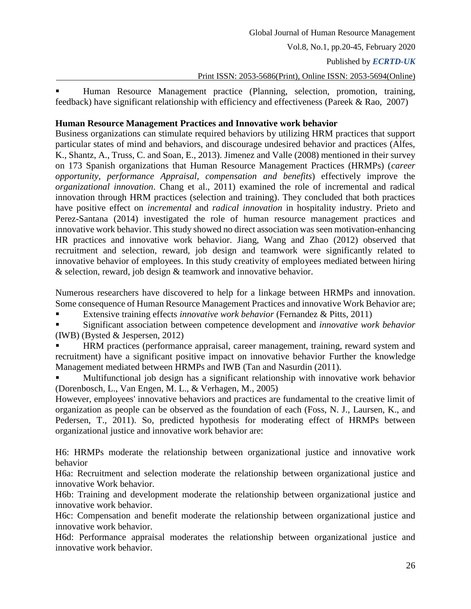Published by *ECRTD-UK* 

Print ISSN: 2053-5686(Print), Online ISSN: 2053-5694(Online)

 Human Resource Management practice (Planning, selection, promotion, training, feedback) have significant relationship with efficiency and effectiveness (Pareek & Rao, 2007)

### **Human Resource Management Practices and Innovative work behavior**

Business organizations can stimulate required behaviors by utilizing HRM practices that support particular states of mind and behaviors, and discourage undesired behavior and practices (Alfes, K., Shantz, A., Truss, C. and Soan, E., 2013). Jimenez and Valle (2008) mentioned in their survey on 173 Spanish organizations that Human Resource Management Practices (HRMPs) (*career opportunity, performance Appraisal, compensation and benefits*) effectively improve the *organizational innovation*. Chang et al., 2011) examined the role of incremental and radical innovation through HRM practices (selection and training). They concluded that both practices have positive effect on *incremental* and *radical innovation* in hospitality industry. Prieto and Perez-Santana (2014) investigated the role of human resource management practices and innovative work behavior. This study showed no direct association was seen motivation-enhancing HR practices and innovative work behavior. Jiang, Wang and Zhao (2012) observed that recruitment and selection, reward, job design and teamwork were significantly related to innovative behavior of employees. In this study creativity of employees mediated between hiring & selection, reward, job design & teamwork and innovative behavior.

Numerous researchers have discovered to help for a linkage between HRMPs and innovation. Some consequence of Human Resource Management Practices and innovative Work Behavior are;

Extensive training effects *innovative work behavior* (Fernandez & Pitts, 2011)

 Significant association between competence development and *innovative work behavior* (IWB) (Bysted & Jespersen, 2012)

 HRM practices (performance appraisal, career management, training, reward system and recruitment) have a significant positive impact on innovative behavior Further the knowledge Management mediated between HRMPs and IWB (Tan and Nasurdin (2011).

 Multifunctional job design has a significant relationship with innovative work behavior (Dorenbosch, L., Van Engen, M. L., & Verhagen, M., 2005)

However, employees' innovative behaviors and practices are fundamental to the creative limit of organization as people can be observed as the foundation of each (Foss, N. J., Laursen, K., and Pedersen, T., 2011). So, predicted hypothesis for moderating effect of HRMPs between organizational justice and innovative work behavior are:

H6: HRMPs moderate the relationship between organizational justice and innovative work behavior

H6a: Recruitment and selection moderate the relationship between organizational justice and innovative Work behavior.

H6b: Training and development moderate the relationship between organizational justice and innovative work behavior.

H6c: Compensation and benefit moderate the relationship between organizational justice and innovative work behavior.

H6d: Performance appraisal moderates the relationship between organizational justice and innovative work behavior.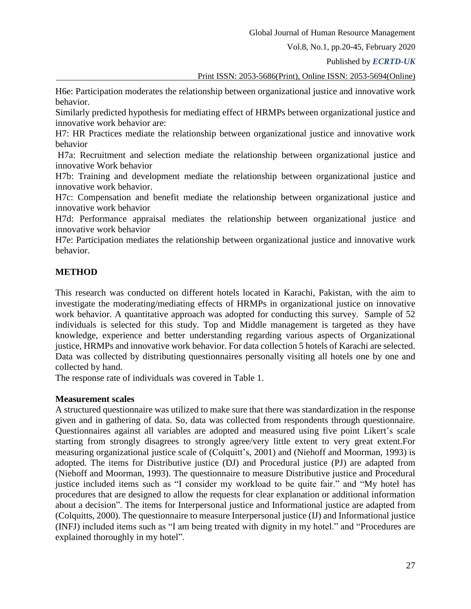Published by *ECRTD-UK* 

Print ISSN: 2053-5686(Print), Online ISSN: 2053-5694(Online)

H6e: Participation moderates the relationship between organizational justice and innovative work behavior.

Similarly predicted hypothesis for mediating effect of HRMPs between organizational justice and innovative work behavior are:

H7: HR Practices mediate the relationship between organizational justice and innovative work behavior

H7a: Recruitment and selection mediate the relationship between organizational justice and innovative Work behavior

H7b: Training and development mediate the relationship between organizational justice and innovative work behavior.

H7c: Compensation and benefit mediate the relationship between organizational justice and innovative work behavior

H7d: Performance appraisal mediates the relationship between organizational justice and innovative work behavior

H7e: Participation mediates the relationship between organizational justice and innovative work behavior.

### **METHOD**

This research was conducted on different hotels located in Karachi, Pakistan, with the aim to investigate the moderating/mediating effects of HRMPs in organizational justice on innovative work behavior. A quantitative approach was adopted for conducting this survey. Sample of 52 individuals is selected for this study. Top and Middle management is targeted as they have knowledge, experience and better understanding regarding various aspects of Organizational justice, HRMPs and innovative work behavior. For data collection 5 hotels of Karachi are selected. Data was collected by distributing questionnaires personally visiting all hotels one by one and collected by hand.

The response rate of individuals was covered in Table 1.

#### **Measurement scales**

A structured questionnaire was utilized to make sure that there was standardization in the response given and in gathering of data. So, data was collected from respondents through questionnaire. Questionnaires against all variables are adopted and measured using five point Likert's scale starting from strongly disagrees to strongly agree/very little extent to very great extent.For measuring organizational justice scale of (Colquitt's, 2001) and (Niehoff and Moorman, 1993) is adopted. The items for Distributive justice (DJ) and Procedural justice (PJ) are adapted from (Niehoff and Moorman, 1993). The questionnaire to measure Distributive justice and Procedural justice included items such as "I consider my workload to be quite fair." and "My hotel has procedures that are designed to allow the requests for clear explanation or additional information about a decision". The items for Interpersonal justice and Informational justice are adapted from (Colquitts, 2000). The questionnaire to measure Interpersonal justice (IJ) and Informational justice (INFJ) included items such as "I am being treated with dignity in my hotel." and "Procedures are explained thoroughly in my hotel".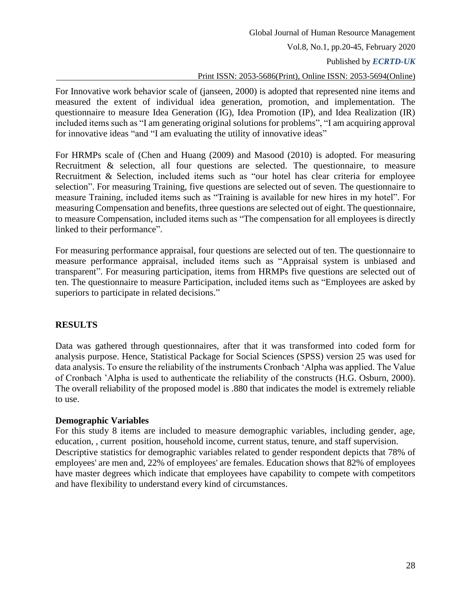Published by *ECRTD-UK* 

# Print ISSN: 2053-5686(Print), Online ISSN: 2053-5694(Online)

For Innovative work behavior scale of (janseen, 2000) is adopted that represented nine items and measured the extent of individual idea generation, promotion, and implementation. The questionnaire to measure Idea Generation (IG), Idea Promotion (IP), and Idea Realization (IR) included items such as "I am generating original solutions for problems", "I am acquiring approval for innovative ideas "and "I am evaluating the utility of innovative ideas"

For HRMPs scale of (Chen and Huang (2009) and Masood (2010) is adopted. For measuring Recruitment & selection, all four questions are selected. The questionnaire, to measure Recruitment & Selection, included items such as "our hotel has clear criteria for employee selection". For measuring Training, five questions are selected out of seven. The questionnaire to measure Training, included items such as "Training is available for new hires in my hotel". For measuring Compensation and benefits, three questions are selected out of eight. The questionnaire, to measure Compensation, included items such as "The compensation for all employees is directly linked to their performance".

For measuring performance appraisal, four questions are selected out of ten. The questionnaire to measure performance appraisal, included items such as "Appraisal system is unbiased and transparent". For measuring participation, items from HRMPs five questions are selected out of ten. The questionnaire to measure Participation, included items such as "Employees are asked by superiors to participate in related decisions."

# **RESULTS**

Data was gathered through questionnaires, after that it was transformed into coded form for analysis purpose. Hence, Statistical Package for Social Sciences (SPSS) version 25 was used for data analysis. To ensure the reliability of the instruments Cronbach 'Alpha was applied. The Value of Cronbach 'Alpha is used to authenticate the reliability of the constructs (H.G. Osburn, 2000). The overall reliability of the proposed model is .880 that indicates the model is extremely reliable to use.

### **Demographic Variables**

For this study 8 items are included to measure demographic variables, including gender, age, education, , current position, household income, current status, tenure, and staff supervision. Descriptive statistics for demographic variables related to gender respondent depicts that 78% of employees' are men and, 22% of employees' are females. Education shows that 82% of employees have master degrees which indicate that employees have capability to compete with competitors and have flexibility to understand every kind of circumstances.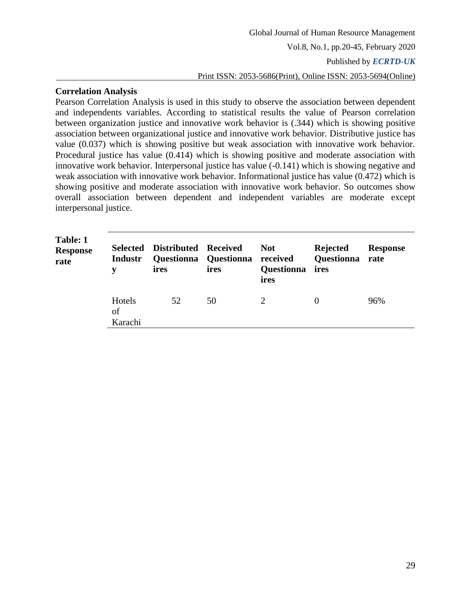### **Correlation Analysis**

Pearson Correlation Analysis is used in this study to observe the association between dependent and independents variables. According to statistical results the value of Pearson correlation between organization justice and innovative work behavior is (.344) which is showing positive association between organizational justice and innovative work behavior. Distributive justice has value (0.037) which is showing positive but weak association with innovative work behavior. Procedural justice has value (0.414) which is showing positive and moderate association with innovative work behavior. Interpersonal justice has value (-0.141) which is showing negative and weak association with innovative work behavior. Informational justice has value (0.472) which is showing positive and moderate association with innovative work behavior. So outcomes show overall association between dependent and independent variables are moderate except interpersonal justice.

| Table: 1<br><b>Response</b><br>rate | <b>Selected</b><br><b>Industr</b><br>v | Distributed Received<br>ires | Questionna Questionna received<br>ires | <b>Not</b><br><b>Questionna</b><br>ires | <b>Rejected</b><br><b>Questionna</b> rate<br>ires | <b>Response</b> |
|-------------------------------------|----------------------------------------|------------------------------|----------------------------------------|-----------------------------------------|---------------------------------------------------|-----------------|
|                                     | Hotels<br>of<br>Karachi                | 52                           | 50                                     |                                         |                                                   | 96%             |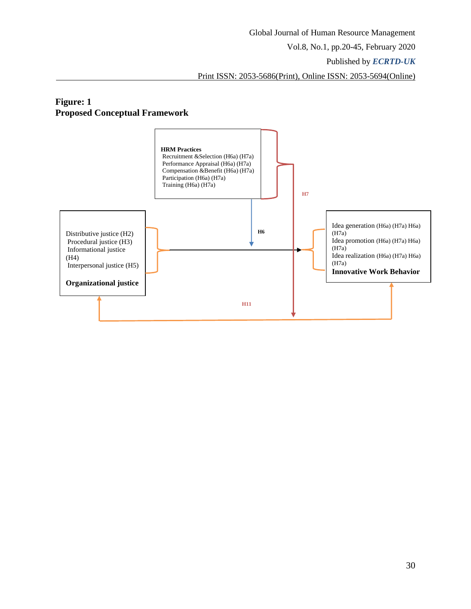Published by *ECRTD-UK* 

Print ISSN: 2053-5686(Print), Online ISSN: 2053-5694(Online)

# **Figure: 1 Proposed Conceptual Framework**

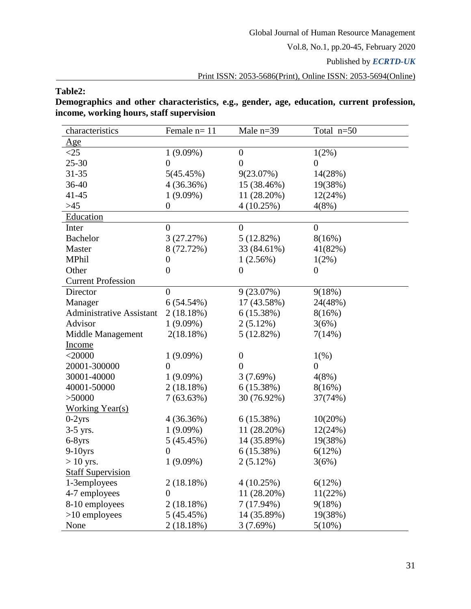Published by *ECRTD-UK* 

Print ISSN: 2053-5686(Print), Online ISSN: 2053-5694(Online)

# **Table2:**

**Demographics and other characteristics, e.g., gender, age, education, current profession, income, working hours, staff supervision**

| characteristics                 | Female $n=11$    | Male $n=39$      | Total n=50       |
|---------------------------------|------------------|------------------|------------------|
| <u>Age</u>                      |                  |                  |                  |
| $\leq$ 25                       | $1(9.09\%)$      | $\boldsymbol{0}$ | $1(2\%)$         |
| 25-30                           | $\boldsymbol{0}$ | $\overline{0}$   | $\overline{0}$   |
| $31 - 35$                       | 5(45.45%)        | 9(23.07%)        | 14(28%)          |
| 36-40                           | 4(36.36%)        | 15 (38.46%)      | 19(38%)          |
| $41 - 45$                       | $1(9.09\%)$      | 11 (28.20%)      | 12(24%)          |
| $>45$                           | $\boldsymbol{0}$ | 4(10.25%)        | 4(8%)            |
| Education                       |                  |                  |                  |
| Inter                           | $\boldsymbol{0}$ | $\boldsymbol{0}$ | $\overline{0}$   |
| <b>Bachelor</b>                 | 3(27.27%)        | 5(12.82%)        | 8(16%)           |
| Master                          | 8 (72.72%)       | 33 (84.61%)      | 41(82%)          |
| MPhil                           | $\boldsymbol{0}$ | 1(2.56%)         | 1(2%)            |
| Other                           | $\boldsymbol{0}$ | $\boldsymbol{0}$ | $\boldsymbol{0}$ |
| <b>Current Profession</b>       |                  |                  |                  |
| Director                        | $\overline{0}$   | 9(23.07%)        | 9(18%)           |
| Manager                         | 6(54.54%)        | 17 (43.58%)      | 24(48%)          |
| <b>Administrative Assistant</b> | 2(18.18%)        | 6(15.38%)        | 8(16%)           |
| Advisor                         | $1(9.09\%)$      | 2(5.12%)         | 3(6%)            |
| Middle Management               | 2(18.18%)        | $5(12.82\%)$     | 7(14%)           |
| <b>Income</b>                   |                  |                  |                  |
| $<$ 20000                       | $1(9.09\%)$      | $\boldsymbol{0}$ | 1(% )            |
| 20001-300000                    | $\boldsymbol{0}$ | $\overline{0}$   | $\boldsymbol{0}$ |
| 30001-40000                     | $1(9.09\%)$      | 3(7.69%)         | 4(8%)            |
| 40001-50000                     | 2(18.18%)        | 6(15.38%)        | 8(16%)           |
| > 50000                         | 7(63.63%)        | 30 (76.92%)      | 37(74%)          |
| <b>Working Year(s)</b>          |                  |                  |                  |
| $0-2$ yrs                       | 4(36.36%)        | 6(15.38%)        | 10(20%)          |
| $3-5$ yrs.                      | $1(9.09\%)$      | 11 (28.20%)      | 12(24%)          |
| $6-8$ yrs                       | 5(45.45%)        | 14 (35.89%)      | 19(38%)          |
| $9-10$ yrs                      | $\overline{0}$   | 6(15.38%)        | 6(12%)           |
| $> 10$ yrs.                     | $1(9.09\%)$      | $2(5.12\%)$      | 3(6%)            |
| <b>Staff Supervision</b>        |                  |                  |                  |
| 1-3employees                    | 2(18.18%)        | 4(10.25%)        | 6(12%)           |
| 4-7 employees                   | $\boldsymbol{0}$ | 11 (28.20%)      | 11(22%)          |
| 8-10 employees                  | 2(18.18%)        | $7(17.94\%)$     | 9(18%)           |
| $>10$ employees                 | 5(45.45%)        | 14 (35.89%)      | 19(38%)          |
| None                            | 2(18.18%)        | 3(7.69%)         | $5(10\%)$        |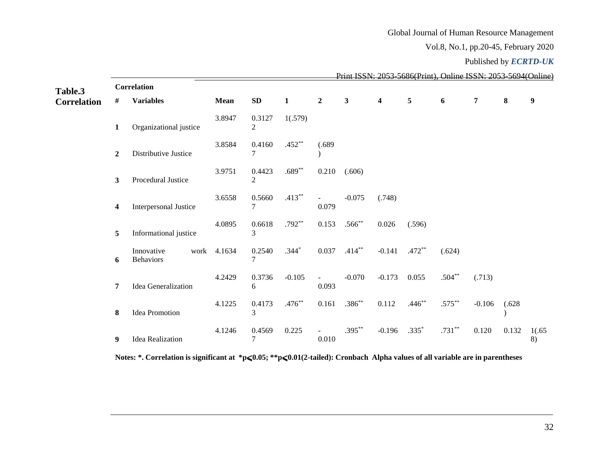# Global Journal of Human Resource Management

Vol.8, No.1, pp.20-45, February 2020

#### Published by *ECRTD-UK*

| Table.3            | Print ISSN: 2053-5686(Print) Online ISSN: 2053-5694(Online)<br>Correlation |                                        |             |                          |              |                         |              |                  |          |           |          |        |              |  |
|--------------------|----------------------------------------------------------------------------|----------------------------------------|-------------|--------------------------|--------------|-------------------------|--------------|------------------|----------|-----------|----------|--------|--------------|--|
| <b>Correlation</b> | #                                                                          | <b>Variables</b>                       | <b>Mean</b> | SD                       | $\mathbf{1}$ | $\boldsymbol{2}$        | $\mathbf{3}$ | $\boldsymbol{4}$ | 5        | 6         | 7        | 8      | 9            |  |
|                    | 1                                                                          | Organizational justice                 | 3.8947      | 0.3127<br>2              | 1(.579)      |                         |              |                  |          |           |          |        |              |  |
|                    | $\boldsymbol{2}$                                                           | Distributive Justice                   | 3.8584      | 0.4160<br>7              | $.452**$     | (.689)                  |              |                  |          |           |          |        |              |  |
|                    | $\mathbf{3}$                                                               | Procedural Justice                     | 3.9751      | 0.4423<br>$\overline{2}$ | $.689**$     | 0.210                   | (.606)       |                  |          |           |          |        |              |  |
|                    | 4                                                                          | Interpersonal Justice                  | 3.6558      | 0.5660<br>7              | $.413***$    | $\blacksquare$<br>0.079 | $-0.075$     | (.748)           |          |           |          |        |              |  |
|                    | 5                                                                          | Informational justice                  | 4.0895      | 0.6618<br>3              | $.792**$     | 0.153                   | $.566^{**}$  | 0.026            | (.596)   |           |          |        |              |  |
|                    | 6                                                                          | Innovative<br>work<br><b>Behaviors</b> | 4.1634      | 0.2540<br>7              | $.344*$      | 0.037                   | $.414***$    | $-0.141$         | $.472**$ | (.624)    |          |        |              |  |
|                    | 7                                                                          | Idea Generalization                    | 4.2429      | 0.3736<br>6              | $-0.105$     | $\blacksquare$<br>0.093 | $-0.070$     | $-0.173$         | 0.055    | $.504**$  | (.713)   |        |              |  |
|                    | 8                                                                          | <b>Idea Promotion</b>                  | 4.1225      | 0.4173<br>3              | $.476**$     | 0.161                   | $.386**$     | 0.112            | $.446**$ | $.575***$ | $-0.106$ | (.628) |              |  |
|                    | 9                                                                          | <b>Idea Realization</b>                | 4.1246      | 0.4569<br>7              | 0.225        | $\equiv$<br>0.010       | $.395***$    | $-0.196$         | $.335*$  | $.731***$ | 0.120    | 0.132  | 1(.65)<br>8) |  |

Notes: \*. Correlation is significant at \*p≤0.05; \*\*p≤0.01(2-tailed): Cronbach Alpha values of all variable are in parentheses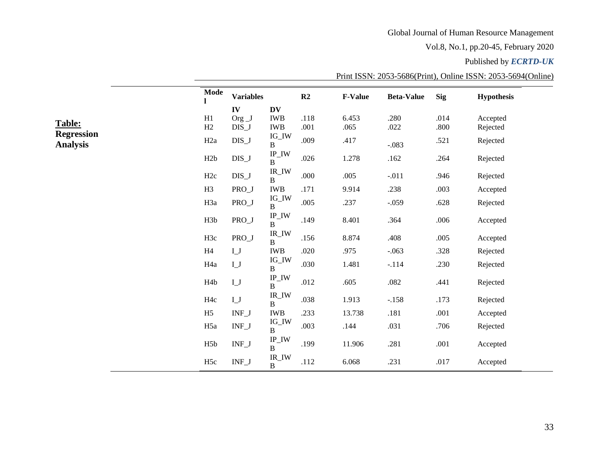# Global Journal of Human Resource Management

Vol.8, No.1, pp.20-45, February 2020

# Published by *ECRTD-UK*

|                                      | Mode             | <b>Variables</b>          |                                                | R2           | <b>F-Value</b> | <b>Beta-Value</b> | <b>Sig</b>   | <b>Hypothesis</b>    |
|--------------------------------------|------------------|---------------------------|------------------------------------------------|--------------|----------------|-------------------|--------------|----------------------|
|                                      |                  | IV                        | <b>DV</b>                                      |              |                |                   |              |                      |
| <b>Table:</b>                        | H1<br>H2         | Org $_{J}$<br>DIS_J       | <b>IWB</b><br><b>IWB</b>                       | .118<br>.001 | 6.453<br>.065  | .280<br>.022      | .014<br>.800 | Accepted<br>Rejected |
| <b>Regression</b><br><b>Analysis</b> | H <sub>2a</sub>  | $DIS_J$                   | $IG_$ IW<br>$\, {\bf B}$                       | .009         | .417           | $-.083$           | .521         | Rejected             |
|                                      | H2b              | $DIS_J$                   | $\text{IP\_IW}$<br>B                           | .026         | 1.278          | $.162$            | .264         | Rejected             |
|                                      | H2c              | $DIS_J$                   | $\ensuremath{\mathsf{IR\_IW}}$<br>$\mathbf{B}$ | .000         | .005           | $-.011$           | .946         | Rejected             |
|                                      | H <sub>3</sub>   | PRO_J                     | <b>IWB</b>                                     | .171         | 9.914          | .238              | .003         | Accepted             |
|                                      | H3a              | PRO_J                     | $\text{IG\_IW}$<br>$\, {\bf B}$                | .005         | .237           | $-.059$           | .628         | Rejected             |
|                                      | H3b              | $PRO_J$                   | $\text{IP\_IW}$<br>B                           | .149         | 8.401          | .364              | .006         | Accepted             |
|                                      | H3c              | PRO_J                     | $\ensuremath{\mathsf{IR\_IW}}$<br>$\, {\bf B}$ | .156         | 8.874          | .408              | .005         | Accepted             |
|                                      | H4               | $L_J$                     | <b>IWB</b>                                     | .020         | .975           | $-.063$           | .328         | Rejected             |
|                                      | H <sub>4a</sub>  | $\mathbf{I}\_ \mathbf{J}$ | $IG_$ IW<br>B                                  | .030         | 1.481          | $-.114$           | .230         | Rejected             |
|                                      | H <sub>4</sub> b | $\mathbf{I}\_ \mathbf{J}$ | $\text{IP\_IW}$<br>B                           | .012         | .605           | $.082\,$          | .441         | Rejected             |
|                                      | H <sub>4c</sub>  | $L_J$                     | IR_IW<br>$\, {\bf B}$                          | .038         | 1.913          | $-.158$           | .173         | Rejected             |
|                                      | H <sub>5</sub>   | $INF_J$                   | <b>IWB</b>                                     | .233         | 13.738         | .181              | .001         | Accepted             |
|                                      | H <sub>5a</sub>  | $INF_J$                   | $IG_$ IW<br>$\, {\bf B}$                       | .003         | .144           | .031              | .706         | Rejected             |
|                                      | H <sub>5</sub> b | $INF_J$                   | $\text{IP\_IW}$<br>B                           | .199         | 11.906         | .281              | .001         | Accepted             |
|                                      | H <sub>5c</sub>  | $INF_J$                   | $IR_$ IW<br>B                                  | .112         | 6.068          | .231              | .017         | Accepted             |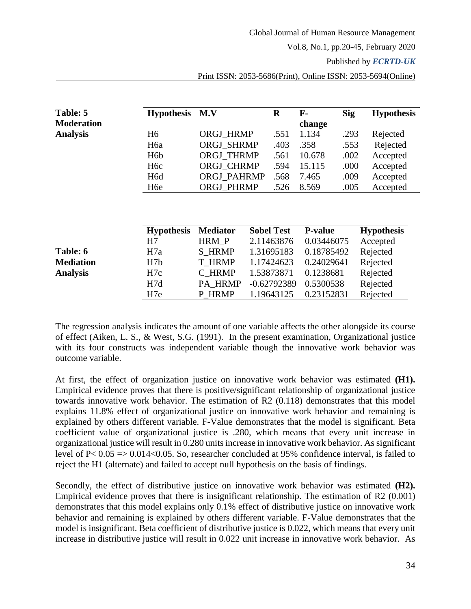Published by *ECRTD-UK* 

| Table: 5          | <b>Hypothesis</b> | M.V               | $\bf R$           | $\mathbf{F}$   | <b>Sig</b> | <b>Hypothesis</b> |
|-------------------|-------------------|-------------------|-------------------|----------------|------------|-------------------|
| <b>Moderation</b> |                   |                   |                   | change         |            |                   |
| <b>Analysis</b>   | H <sub>6</sub>    | <b>ORGJ HRMP</b>  | .551              | 1.134          | .293       | Rejected          |
|                   | H <sub>6</sub> a  | <b>ORGJ SHRMP</b> | .403              | .358           | .553       | Rejected          |
|                   | H <sub>6</sub> b  | ORGJ_THRMP        | .561              | 10.678         | .002       | Accepted          |
|                   | H <sub>6</sub> c  | <b>ORGJ CHRMP</b> | .594              | 15.115         | .000       | Accepted          |
|                   | H <sub>6</sub> d  | ORGJ_PAHRMP       | .568              | 7.465          | .009       | Accepted          |
|                   | H <sub>6</sub> e  | ORGJ_PHRMP        | .526              | 8.569          | .005       | Accepted          |
|                   | <b>Hypothesis</b> | <b>Mediator</b>   | <b>Sobel Test</b> | <b>P-value</b> |            | <b>Hypothesis</b> |
|                   | H7                | HRM_P             | 2.11463876        | 0.03446075     |            | Accepted          |
| Table: 6          | H7a               | <b>S_HRMP</b>     | 1.31695183        | 0.18785492     |            | Rejected          |
| <b>Mediation</b>  | H7b               | <b>T HRMP</b>     | 1.17424623        | 0.24029641     |            | Rejected          |
| <b>Analysis</b>   | H7c               | C HRMP            | 1.53873871        | 0.1238681      |            | Rejected          |
|                   | H7d               | PA HRMP           | $-0.62792389$     | 0.5300538      |            | Rejected          |

The regression analysis indicates the amount of one variable affects the other alongside its course of effect (Aiken, L. S., & West, S.G. (1991). In the present examination, Organizational justice with its four constructs was independent variable though the innovative work behavior was outcome variable.

H7e P\_HRMP 1.19643125 0.23152831 Rejected

At first, the effect of organization justice on innovative work behavior was estimated **(H1).** Empirical evidence proves that there is positive/significant relationship of organizational justice towards innovative work behavior. The estimation of R2 (0.118) demonstrates that this model explains 11.8% effect of organizational justice on innovative work behavior and remaining is explained by others different variable. F-Value demonstrates that the model is significant. Beta coefficient value of organizational justice is .280, which means that every unit increase in organizational justice will result in 0.280 unitsincrease in innovative work behavior. As significant level of P< 0.05 => 0.014<0.05. So, researcher concluded at 95% confidence interval, is failed to reject the H1 (alternate) and failed to accept null hypothesis on the basis of findings.

Secondly, the effect of distributive justice on innovative work behavior was estimated **(H2).** Empirical evidence proves that there is insignificant relationship. The estimation of R2 (0.001) demonstrates that this model explains only 0.1% effect of distributive justice on innovative work behavior and remaining is explained by others different variable. F-Value demonstrates that the model is insignificant. Beta coefficient of distributive justice is 0.022, which means that every unit increase in distributive justice will result in 0.022 unit increase in innovative work behavior. As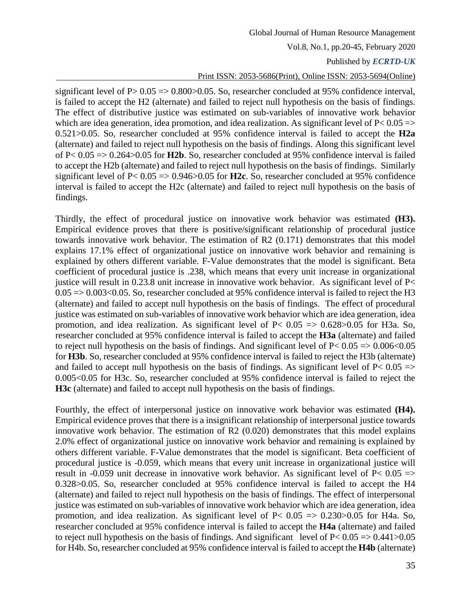### Published by *ECRTD-UK*

### Print ISSN: 2053-5686(Print), Online ISSN: 2053-5694(Online)

significant level of  $P > 0.05 \Rightarrow 0.800 > 0.05$ . So, researcher concluded at 95% confidence interval, is failed to accept the H2 (alternate) and failed to reject null hypothesis on the basis of findings. The effect of distributive justice was estimated on sub-variables of innovative work behavior which are idea generation, idea promotion, and idea realization. As significant level of  $P < 0.05$  => 0.521>0.05. So, researcher concluded at 95% confidence interval is failed to accept the **H2a** (alternate) and failed to reject null hypothesis on the basis of findings. Along this significant level of P< 0.05 => 0.264>0.05 for **H2b**. So, researcher concluded at 95% confidence interval is failed to accept the H2b (alternate) and failed to reject null hypothesis on the basis of findings. Similarly significant level of P< 0.05 => 0.946>0.05 for **H2c**. So, researcher concluded at 95% confidence interval is failed to accept the H2c (alternate) and failed to reject null hypothesis on the basis of findings.

Thirdly, the effect of procedural justice on innovative work behavior was estimated **(H3).** Empirical evidence proves that there is positive/significant relationship of procedural justice towards innovative work behavior. The estimation of R2 (0.171) demonstrates that this model explains 17.1% effect of organizational justice on innovative work behavior and remaining is explained by others different variable. F-Value demonstrates that the model is significant. Beta coefficient of procedural justice is .238, which means that every unit increase in organizational justice will result in  $0.23.8$  unit increase in innovative work behavior. As significant level of P $<$  $0.05 \Rightarrow 0.003 \le 0.05$ . So, researcher concluded at 95% confidence interval is failed to reject the H3 (alternate) and failed to accept null hypothesis on the basis of findings. The effect of procedural justice was estimated on sub-variables of innovative work behavior which are idea generation, idea promotion, and idea realization. As significant level of  $P< 0.05 \Rightarrow 0.628 > 0.05$  for H3a. So, researcher concluded at 95% confidence interval is failed to accept the **H3a** (alternate) and failed to reject null hypothesis on the basis of findings. And significant level of  $P < 0.05 \approx 0.006 < 0.05$ for **H3b**. So, researcher concluded at 95% confidence interval is failed to reject the H3b (alternate) and failed to accept null hypothesis on the basis of findings. As significant level of  $P< 0.05$  => 0.005<0.05 for H3c. So, researcher concluded at 95% confidence interval is failed to reject the **H3c** (alternate) and failed to accept null hypothesis on the basis of findings.

Fourthly, the effect of interpersonal justice on innovative work behavior was estimated **(H4).** Empirical evidence proves that there is a insignificant relationship of interpersonal justice towards innovative work behavior. The estimation of R2 (0.020) demonstrates that this model explains 2.0% effect of organizational justice on innovative work behavior and remaining is explained by others different variable. F-Value demonstrates that the model is significant. Beta coefficient of procedural justice is -0.059, which means that every unit increase in organizational justice will result in -0.059 unit decrease in innovative work behavior. As significant level of  $P< 0.05$  => 0.328>0.05. So, researcher concluded at 95% confidence interval is failed to accept the H4 (alternate) and failed to reject null hypothesis on the basis of findings. The effect of interpersonal justice was estimated on sub-variables of innovative work behavior which are idea generation, idea promotion, and idea realization. As significant level of  $P< 0.05 \Rightarrow 0.230 > 0.05$  for H4a. So, researcher concluded at 95% confidence interval is failed to accept the **H4a** (alternate) and failed to reject null hypothesis on the basis of findings. And significant level of  $P < 0.05 \Rightarrow 0.441 > 0.05$ for H4b. So, researcher concluded at 95% confidence interval is failed to accept the **H4b** (alternate)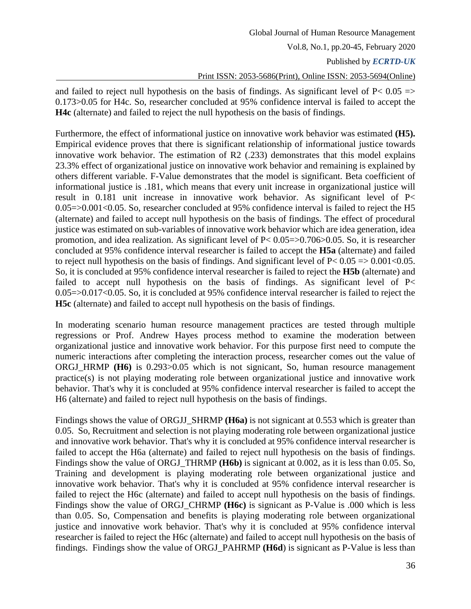and failed to reject null hypothesis on the basis of findings. As significant level of  $P< 0.05$  => 0.173>0.05 for H4c. So, researcher concluded at 95% confidence interval is failed to accept the **H4c** (alternate) and failed to reject the null hypothesis on the basis of findings.

Furthermore, the effect of informational justice on innovative work behavior was estimated **(H5).** Empirical evidence proves that there is significant relationship of informational justice towards innovative work behavior. The estimation of R2 (.233) demonstrates that this model explains 23.3% effect of organizational justice on innovative work behavior and remaining is explained by others different variable. F-Value demonstrates that the model is significant. Beta coefficient of informational justice is .181, which means that every unit increase in organizational justice will result in 0.181 unit increase in innovative work behavior. As significant level of P< 0.05=>0.001<0.05. So, researcher concluded at 95% confidence interval is failed to reject the H5 (alternate) and failed to accept null hypothesis on the basis of findings. The effect of procedural justice was estimated on sub-variables of innovative work behavior which are idea generation, idea promotion, and idea realization. As significant level of P< 0.05=>0.706>0.05. So, it is researcher concluded at 95% confidence interval researcher is failed to accept the **H5a** (alternate) and failed to reject null hypothesis on the basis of findings. And significant level of  $P < 0.05 \Rightarrow 0.001 < 0.05$ . So, it is concluded at 95% confidence interval researcher is failed to reject the **H5b** (alternate) and failed to accept null hypothesis on the basis of findings. As significant level of  $P<$ 0.05=>0.017<0.05. So, it is concluded at 95% confidence interval researcher is failed to reject the **H5c** (alternate) and failed to accept null hypothesis on the basis of findings.

In moderating scenario human resource management practices are tested through multiple regressions or Prof. Andrew Hayes process method to examine the moderation between organizational justice and innovative work behavior. For this purpose first need to compute the numeric interactions after completing the interaction process, researcher comes out the value of ORGJ HRMP **(H6)** is 0.293>0.05 which is not signicant, So, human resource management practice(s) is not playing moderating role between organizational justice and innovative work behavior. That's why it is concluded at 95% confidence interval researcher is failed to accept the H6 (alternate) and failed to reject null hypothesis on the basis of findings.

Findings shows the value of ORGJJ\_SHRMP **(H6a)** is not signicant at 0.553 which is greater than 0.05. So, Recruitment and selection is not playing moderating role between organizational justice and innovative work behavior. That's why it is concluded at 95% confidence interval researcher is failed to accept the H6a (alternate) and failed to reject null hypothesis on the basis of findings. Findings show the value of ORGJ\_THRMP **(H6b)** is signicant at 0.002, as it is less than 0.05. So, Training and development is playing moderating role between organizational justice and innovative work behavior. That's why it is concluded at 95% confidence interval researcher is failed to reject the H6c (alternate) and failed to accept null hypothesis on the basis of findings. Findings show the value of ORGJ\_CHRMP **(H6c)** is signicant as P-Value is .000 which is less than 0.05. So, Compensation and benefits is playing moderating role between organizational justice and innovative work behavior. That's why it is concluded at 95% confidence interval researcher is failed to reject the H6c (alternate) and failed to accept null hypothesis on the basis of findings. Findings show the value of ORGJ\_PAHRMP **(H6d**) is signicant as P-Value is less than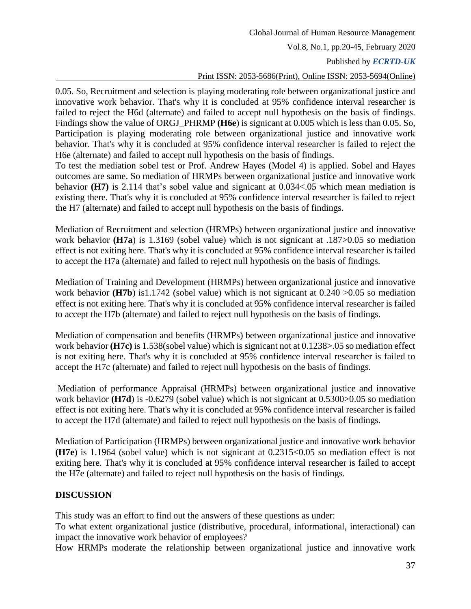# Published by *ECRTD-UK*

### Print ISSN: 2053-5686(Print), Online ISSN: 2053-5694(Online)

0.05. So, Recruitment and selection is playing moderating role between organizational justice and innovative work behavior. That's why it is concluded at 95% confidence interval researcher is failed to reject the H6d (alternate) and failed to accept null hypothesis on the basis of findings. Findings show the value of ORGJ\_PHRMP **(H6e**) is signicant at 0.005 which is less than 0.05. So, Participation is playing moderating role between organizational justice and innovative work behavior. That's why it is concluded at 95% confidence interval researcher is failed to reject the H6e (alternate) and failed to accept null hypothesis on the basis of findings.

To test the mediation sobel test or Prof. Andrew Hayes (Model 4) is applied. Sobel and Hayes outcomes are same. So mediation of HRMPs between organizational justice and innovative work behavior **(H7)** is 2.114 that's sobel value and signicant at 0.034<.05 which mean mediation is existing there. That's why it is concluded at 95% confidence interval researcher is failed to reject the H7 (alternate) and failed to accept null hypothesis on the basis of findings.

Mediation of Recruitment and selection (HRMPs) between organizational justice and innovative work behavior **(H7a**) is 1.3169 (sobel value) which is not signicant at .187>0.05 so mediation effect is not exiting here. That's why it is concluded at 95% confidence interval researcher is failed to accept the H7a (alternate) and failed to reject null hypothesis on the basis of findings.

Mediation of Training and Development (HRMPs) between organizational justice and innovative work behavior **(H7b)** is1.1742 (sobel value) which is not signicant at 0.240  $>0.05$  so mediation effect is not exiting here. That's why it is concluded at 95% confidence interval researcher is failed to accept the H7b (alternate) and failed to reject null hypothesis on the basis of findings.

Mediation of compensation and benefits (HRMPs) between organizational justice and innovative work behavior **(H7c)** is 1.538(sobel value) which is signicant not at 0.1238>.05 so mediation effect is not exiting here. That's why it is concluded at 95% confidence interval researcher is failed to accept the H7c (alternate) and failed to reject null hypothesis on the basis of findings.

Mediation of performance Appraisal (HRMPs) between organizational justice and innovative work behavior **(H7d)** is -0.6279 (sobel value) which is not signicant at 0.5300>0.05 so mediation effect is not exiting here. That's why it is concluded at 95% confidence interval researcher is failed to accept the H7d (alternate) and failed to reject null hypothesis on the basis of findings.

Mediation of Participation (HRMPs) between organizational justice and innovative work behavior **(H7e**) is 1.1964 (sobel value) which is not signicant at 0.2315<0.05 so mediation effect is not exiting here. That's why it is concluded at 95% confidence interval researcher is failed to accept the H7e (alternate) and failed to reject null hypothesis on the basis of findings.

### **DISCUSSION**

This study was an effort to find out the answers of these questions as under:

To what extent organizational justice (distributive, procedural, informational, interactional) can impact the innovative work behavior of employees?

How HRMPs moderate the relationship between organizational justice and innovative work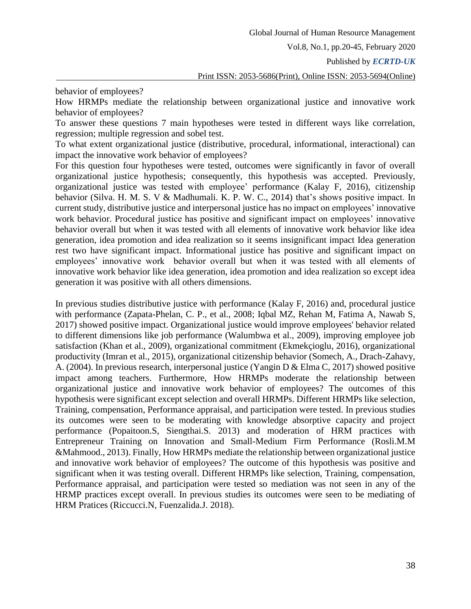Published by *ECRTD-UK* 

Print ISSN: 2053-5686(Print), Online ISSN: 2053-5694(Online)

behavior of employees?

How HRMPs mediate the relationship between organizational justice and innovative work behavior of employees?

To answer these questions 7 main hypotheses were tested in different ways like correlation, regression; multiple regression and sobel test.

To what extent organizational justice (distributive, procedural, informational, interactional) can impact the innovative work behavior of employees?

For this question four hypotheses were tested, outcomes were significantly in favor of overall organizational justice hypothesis; consequently, this hypothesis was accepted. Previously, organizational justice was tested with employee' performance (Kalay F, 2016), citizenship behavior (Silva. H. M. S. V & Madhumali. K. P. W. C., 2014) that's shows positive impact. In current study, distributive justice and interpersonal justice has no impact on employees' innovative work behavior. Procedural justice has positive and significant impact on employees' innovative behavior overall but when it was tested with all elements of innovative work behavior like idea generation, idea promotion and idea realization so it seems insignificant impact Idea generation rest two have significant impact. Informational justice has positive and significant impact on employees' innovative work behavior overall but when it was tested with all elements of innovative work behavior like idea generation, idea promotion and idea realization so except idea generation it was positive with all others dimensions.

In previous studies distributive justice with performance (Kalay F, 2016) and, procedural justice with performance (Zapata-Phelan, C. P., et al., 2008; Iqbal MZ, Rehan M, Fatima A, Nawab S, 2017) showed positive impact. Organizational justice would improve employees' behavior related to different dimensions like job performance (Walumbwa et al., 2009), improving employee job satisfaction (Khan et al., 2009), organizational commitment (Ekmekçioglu, 2016), organizational productivity (Imran et al., 2015), organizational citizenship behavior (Somech, A., Drach-Zahavy, A. (2004). In previous research, interpersonal justice (Yangin D & Elma C, 2017) showed positive impact among teachers. Furthermore, How HRMPs moderate the relationship between organizational justice and innovative work behavior of employees? The outcomes of this hypothesis were significant except selection and overall HRMPs. Different HRMPs like selection, Training, compensation, Performance appraisal, and participation were tested. In previous studies its outcomes were seen to be moderating with knowledge absorptive capacity and project performance (Popaitoon.S, Siengthai.S. 2013) and moderation of HRM practices with Entrepreneur Training on Innovation and Small-Medium Firm Performance (Rosli.M.M &Mahmood., 2013). Finally, How HRMPs mediate the relationship between organizational justice and innovative work behavior of employees? The outcome of this hypothesis was positive and significant when it was testing overall. Different HRMPs like selection, Training, compensation, Performance appraisal, and participation were tested so mediation was not seen in any of the HRMP practices except overall. In previous studies its outcomes were seen to be mediating of HRM Pratices (Riccucci.N, Fuenzalida.J. 2018).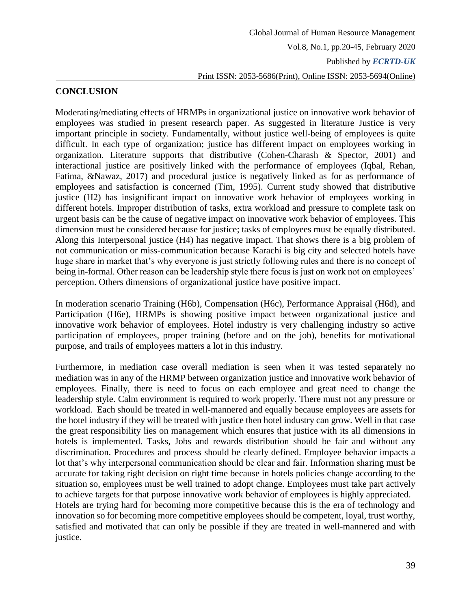# **CONCLUSION**

Moderating/mediating effects of HRMPs in organizational justice on innovative work behavior of employees was studied in present research paper. As suggested in literature Justice is very important principle in society. Fundamentally, without justice well-being of employees is quite difficult. In each type of organization; justice has different impact on employees working in organization. Literature supports that distributive (Cohen-Charash & Spector, 2001) and interactional justice are positively linked with the performance of employees (Iqbal, Rehan, Fatima, &Nawaz, 2017) and procedural justice is negatively linked as for as performance of employees and satisfaction is concerned (Tim, 1995). Current study showed that distributive justice (H2) has insignificant impact on innovative work behavior of employees working in different hotels. Improper distribution of tasks, extra workload and pressure to complete task on urgent basis can be the cause of negative impact on innovative work behavior of employees. This dimension must be considered because for justice; tasks of employees must be equally distributed. Along this Interpersonal justice (H4) has negative impact. That shows there is a big problem of not communication or miss-communication because Karachi is big city and selected hotels have huge share in market that's why everyone is just strictly following rules and there is no concept of being in-formal. Other reason can be leadership style there focus is just on work not on employees' perception. Others dimensions of organizational justice have positive impact.

In moderation scenario Training (H6b), Compensation (H6c), Performance Appraisal (H6d), and Participation (H6e), HRMPs is showing positive impact between organizational justice and innovative work behavior of employees. Hotel industry is very challenging industry so active participation of employees, proper training (before and on the job), benefits for motivational purpose, and trails of employees matters a lot in this industry.

Furthermore, in mediation case overall mediation is seen when it was tested separately no mediation was in any of the HRMP between organization justice and innovative work behavior of employees. Finally, there is need to focus on each employee and great need to change the leadership style. Calm environment is required to work properly. There must not any pressure or workload. Each should be treated in well-mannered and equally because employees are assets for the hotel industry if they will be treated with justice then hotel industry can grow. Well in that case the great responsibility lies on management which ensures that justice with its all dimensions in hotels is implemented. Tasks, Jobs and rewards distribution should be fair and without any discrimination. Procedures and process should be clearly defined. Employee behavior impacts a lot that's why interpersonal communication should be clear and fair. Information sharing must be accurate for taking right decision on right time because in hotels policies change according to the situation so, employees must be well trained to adopt change. Employees must take part actively to achieve targets for that purpose innovative work behavior of employees is highly appreciated. Hotels are trying hard for becoming more competitive because this is the era of technology and innovation so for becoming more competitive employees should be competent, loyal, trust worthy, satisfied and motivated that can only be possible if they are treated in well-mannered and with justice.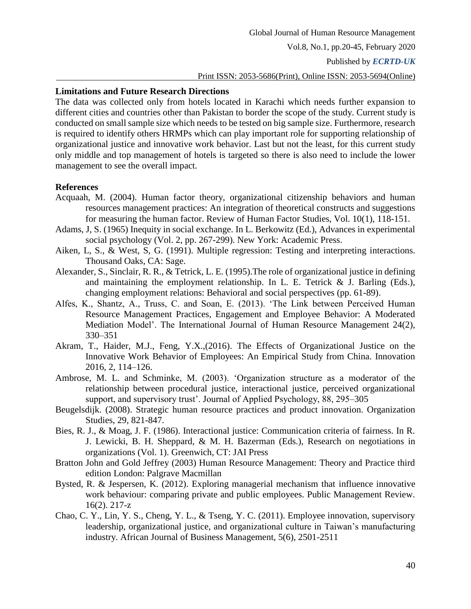### **Limitations and Future Research Directions**

The data was collected only from hotels located in Karachi which needs further expansion to different cities and countries other than Pakistan to border the scope of the study. Current study is conducted on small sample size which needs to be tested on big sample size. Furthermore, research is required to identify others HRMPs which can play important role for supporting relationship of organizational justice and innovative work behavior. Last but not the least, for this current study only middle and top management of hotels is targeted so there is also need to include the lower management to see the overall impact.

### <span id="page-20-0"></span>**References**

- Acquaah, M. (2004). Human factor theory, organizational citizenship behaviors and human resources management practices: An integration of theoretical constructs and suggestions for measuring the human factor. Review of Human Factor Studies, Vol. 10(1), 118-151.
- Adams, J, S. (1965) Inequity in social exchange. In L. Berkowitz (Ed.), Advances in experimental social psychology (Vol. 2, pp. 267-299). New York: Academic Press.
- Aiken, L, S., & West, S, G. (1991). Multiple regression: Testing and interpreting interactions. Thousand Oaks, CA: Sage.
- Alexander, S., Sinclair, R. R., & Tetrick, L. E. (1995).The role of organizational justice in defining and maintaining the employment relationship. In L. E. Tetrick  $\&$  J. Barling (Eds.), changing employment relations: Behavioral and social perspectives (pp. 61-89).
- Alfes, K., Shantz, A., Truss, C. and Soan, E. (2013). 'The Link between Perceived Human Resource Management Practices, Engagement and Employee Behavior: A Moderated Mediation Model'. The International Journal of Human Resource Management 24(2), 330–351
- Akram, T., Haider, M.J., Feng, Y.X.,(2016). The Effects of Organizational Justice on the Innovative Work Behavior of Employees: An Empirical Study from China. Innovation 2016, 2, 114–126.
- Ambrose, M. L. and Schminke, M. (2003). 'Organization structure as a moderator of the relationship between procedural justice, interactional justice, perceived organizational support, and supervisory trust'. Journal of Applied Psychology, 88, 295–305
- Beugelsdijk. (2008). Strategic human resource practices and product innovation. Organization Studies, 29, 821-847.
- Bies, R. J., & Moag, J. F. (1986). Interactional justice: Communication criteria of fairness. In R. J. Lewicki, B. H. Sheppard, & M. H. Bazerman (Eds.), Research on negotiations in organizations (Vol. 1). Greenwich, CT: JAI Press
- Bratton John and Gold Jeffrey (2003) Human Resource Management: Theory and Practice third edition London: Palgrave Macmillan
- Bysted, R. & Jespersen, K. (2012). Exploring managerial mechanism that influence innovative work behaviour: comparing private and public employees. Public Management Review. 16(2). 217-z
- Chao, C. Y., Lin, Y. S., Cheng, Y. L., & Tseng, Y. C. (2011). Employee innovation, supervisory leadership, organizational justice, and organizational culture in Taiwan's manufacturing industry. African Journal of Business Management, 5(6), 2501-2511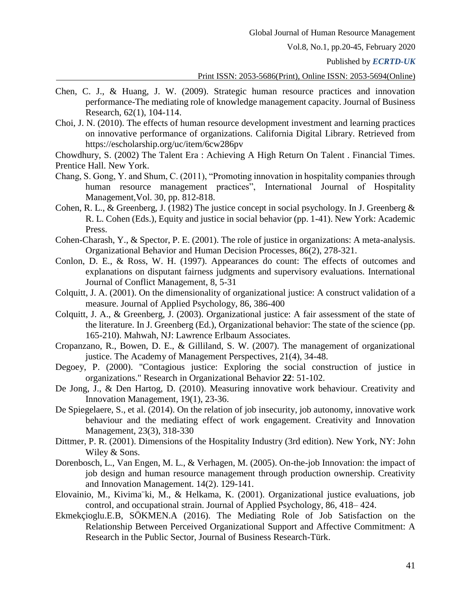Published by *ECRTD-UK* 

- Chen, C. J., & Huang, J. W. (2009). Strategic human resource practices and innovation performance-The mediating role of knowledge management capacity. Journal of Business Research, 62(1), 104-114.
- Choi, J. N. (2010). The effects of human resource development investment and learning practices on innovative performance of organizations. California Digital Library. Retrieved from https://escholarship.org/uc/item/6cw286pv
- Chowdhury, S. (2002) The Talent Era : Achieving A High Return On Talent . Financial Times. Prentice Hall. New York.
- Chang, S. Gong, Y. and Shum, C. (2011), "Promoting innovation in hospitality companies through human resource management practices", International Journal of Hospitality Management,Vol. 30, pp. 812-818.
- Cohen, R. L., & Greenberg, J. (1982) The justice concept in social psychology. In J. Greenberg & R. L. Cohen (Eds.), Equity and justice in social behavior (pp. 1-41). New York: Academic Press.
- Cohen-Charash, Y., & Spector, P. E. (2001). The role of justice in organizations: A meta-analysis. Organizational Behavior and Human Decision Processes, 86(2), 278-321.
- Conlon, D. E., & Ross, W. H. (1997). Appearances do count: The effects of outcomes and explanations on disputant fairness judgments and supervisory evaluations. International Journal of Conflict Management, 8, 5-31
- Colquitt, J. A. (2001). On the dimensionality of organizational justice: A construct validation of a measure. Journal of Applied Psychology, 86, 386-400
- Colquitt, J. A., & Greenberg, J. (2003). Organizational justice: A fair assessment of the state of the literature. In J. Greenberg (Ed.), Organizational behavior: The state of the science (pp. 165-210). Mahwah, NJ: Lawrence Erlbaum Associates.
- Cropanzano, R., Bowen, D. E., & Gilliland, S. W. (2007). The management of organizational justice. The Academy of Management Perspectives, 21(4), 34-48.
- Degoey, P. (2000). "Contagious justice: Exploring the social construction of justice in organizations." Research in Organizational Behavior **22**: 51-102.
- De Jong, J., & Den Hartog, D. (2010). Measuring innovative work behaviour. Creativity and Innovation Management, 19(1), 23-36.
- De Spiegelaere, S., et al. (2014). On the relation of job insecurity, job autonomy, innovative work behaviour and the mediating effect of work engagement. Creativity and Innovation Management, 23(3), 318-330
- Dittmer, P. R. (2001). Dimensions of the Hospitality Industry (3rd edition). New York, NY: John Wiley & Sons.
- Dorenbosch, L., Van Engen, M. L., & Verhagen, M. (2005). On-the-job Innovation: the impact of job design and human resource management through production ownership. Creativity and Innovation Management. 14(2). 129-141.
- Elovainio, M., Kivima¨ki, M., & Helkama, K. (2001). Organizational justice evaluations, job control, and occupational strain. Journal of Applied Psychology, 86, 418– 424.
- Ekmekçioglu.E.B, SÖKMEN.A (2016). The Mediating Role of Job Satisfaction on the Relationship Between Perceived Organizational Support and Affective Commitment: A Research in the Public Sector, Journal of Business Research-Türk.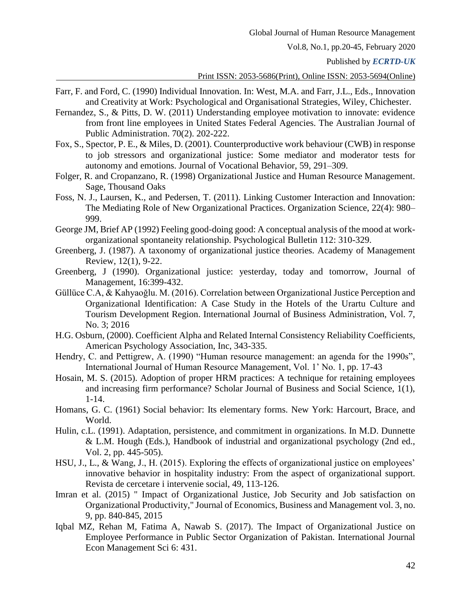Published by *ECRTD-UK* 

- Farr, F. and Ford, C. (1990) Individual Innovation. In: West, M.A. and Farr, J.L., Eds., Innovation and Creativity at Work: Psychological and Organisational Strategies, Wiley, Chichester.
- Fernandez, S., & Pitts, D. W. (2011) Understanding employee motivation to innovate: evidence from front line employees in United States Federal Agencies. The Australian Journal of Public Administration. 70(2). 202-222.
- Fox, S., Spector, P. E., & Miles, D. (2001). Counterproductive work behaviour (CWB) in response to job stressors and organizational justice: Some mediator and moderator tests for autonomy and emotions. Journal of Vocational Behavior, 59, 291–309.
- Folger, R. and Cropanzano, R. (1998) Organizational Justice and Human Resource Management. Sage, Thousand Oaks
- Foss, N. J., Laursen, K., and Pedersen, T. (2011). Linking Customer Interaction and Innovation: The Mediating Role of New Organizational Practices. Organization Science, 22(4): 980– 999.
- George JM, Brief AP (1992) Feeling good-doing good: A conceptual analysis of the mood at workorganizational spontaneity relationship. Psychological Bulletin 112: 310-329.
- Greenberg, J. (1987). A taxonomy of organizational justice theories. Academy of Management Review, 12(1), 9-22.
- Greenberg, J (1990). Organizational justice: yesterday, today and tomorrow, Journal of Management, 16:399-432.
- Güllüce C.A, & Kahyaoğlu. M. (2016). Correlation between Organizational Justice Perception and Organizational Identification: A Case Study in the Hotels of the Urartu Culture and Tourism Development Region. International Journal of Business Administration, Vol. 7, No. 3; 2016
- H.G. Osburn, (2000). Coefficient Alpha and Related Internal Consistency Reliability Coefficients, American Psychology Association, Inc, 343-335.
- Hendry, C. and Pettigrew, A. (1990) "Human resource management: an agenda for the 1990s", International Journal of Human Resource Management, Vol. 1' No. 1, pp. 17-43
- Hosain, M. S. (2015). Adoption of proper HRM practices: A technique for retaining employees and increasing firm performance? Scholar Journal of Business and Social Science, 1(1), 1-14.
- Homans, G. C. (1961) Social behavior: Its elementary forms. New York: Harcourt, Brace, and World.
- Hulin, c.L. (1991). Adaptation, persistence, and commitment in organizations. In M.D. Dunnette & L.M. Hough (Eds.), Handbook of industrial and organizational psychology (2nd ed., Vol. 2, pp. 445-505).
- HSU, J., L., & Wang, J., H. (2015). Exploring the effects of organizational justice on employees' innovative behavior in hospitality industry: From the aspect of organizational support. Revista de cercetare i intervenie social, 49, 113-126.
- Imran et al. (2015) " Impact of Organizational Justice, Job Security and Job satisfaction on Organizational Productivity," Journal of Economics, Business and Management vol. 3, no. 9, pp. 840-845, 2015
- Iqbal MZ, Rehan M, Fatima A, Nawab S. (2017). The Impact of Organizational Justice on Employee Performance in Public Sector Organization of Pakistan. International Journal Econ Management Sci 6: 431.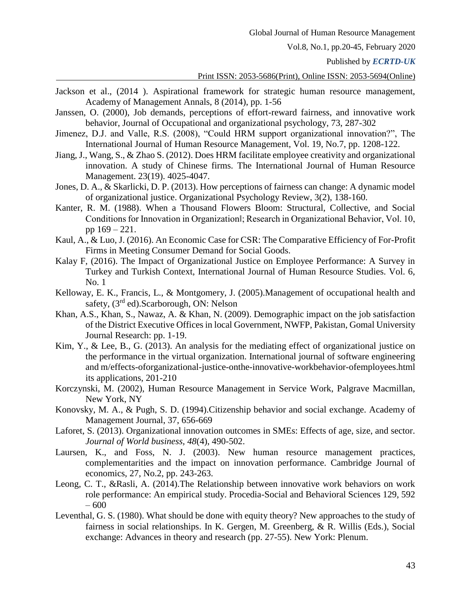Published by *ECRTD-UK* 

- [Jackson et al., \(2014](https://www.sciencedirect.com/science/article/pii/S1019683815000190#bbib0220) ). Aspirational framework for strategic human resource management, Academy of Management Annals, 8 (2014), pp. 1-56
- Janssen, O. (2000), Job demands, perceptions of effort-reward fairness, and innovative work behavior, Journal of Occupational and organizational psychology, 73, 287-302
- Jimenez, D.J. and Valle, R.S. (2008), "Could HRM support organizational innovation?", The International Journal of Human Resource Management, Vol. 19, No.7, pp. 1208-122.
- Jiang, J., Wang, S., & Zhao S. (2012). Does HRM facilitate employee creativity and organizational innovation. A study of Chinese firms. The International Journal of Human Resource Management. 23(19). 4025-4047.
- Jones, D. A., & Skarlicki, D. P. (2013). How perceptions of fairness can change: A dynamic model of organizational justice. Organizational Psychology Review, 3(2), 138-160.
- Kanter, R. M. (1988). When a Thousand Flowers Bloom: Structural, Collective, and Social Conditions for Innovation in Organization‖; Research in Organizational Behavior, Vol. 10, pp 169 – 221.
- Kaul, A., & Luo, J. (2016). An Economic Case for CSR: The Comparative Efficiency of For-Profit Firms in Meeting Consumer Demand for Social Goods.
- Kalay F, (2016). The Impact of Organizational Justice on Employee Performance: A Survey in Turkey and Turkish Context, International Journal of Human Resource Studies. Vol. 6, No. 1
- Kelloway, E. K., Francis, L., & Montgomery, J. (2005).Management of occupational health and safety, (3<sup>rd</sup> ed). Scarborough, ON: Nelson
- Khan, A.S., Khan, S., Nawaz, A. & Khan, N. (2009). Demographic impact on the job satisfaction of the District Executive Offices in local Government, NWFP, Pakistan, Gomal University Journal Research: pp. 1-19.
- Kim, Y., & Lee, B., G. (2013). An analysis for the mediating effect of organizational justice on the performance in the virtual organization. International journal of software engineering and m/effects-oforganizational-justice-onthe-innovative-workbehavior-ofemployees.html its applications, 201-210
- Korczynski, M. (2002), Human Resource Management in Service Work, Palgrave Macmillan, New York, NY
- Konovsky, M. A., & Pugh, S. D. (1994).Citizenship behavior and social exchange. Academy of Management Journal, 37, 656-669
- Laforet, S. (2013). Organizational innovation outcomes in SMEs: Effects of age, size, and sector. *Journal of World business, 48*(4), 490-502.
- Laursen, K., and Foss, N. J. (2003). New human resource management practices, complementarities and the impact on innovation performance. Cambridge Journal of economics, 27, No.2, pp. 243-263.
- Leong, C. T., &Rasli, A. (2014).The Relationship between innovative work behaviors on work role performance: An empirical study. Procedia-Social and Behavioral Sciences 129, 592  $-600$
- Leventhal, G. S. (1980). What should be done with equity theory? New approaches to the study of fairness in social relationships. In K. Gergen, M. Greenberg, & R. Willis (Eds.), Social exchange: Advances in theory and research (pp. 27-55). New York: Plenum.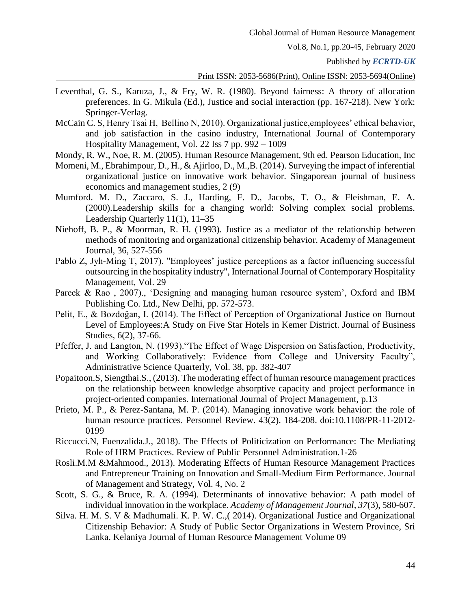Published by *ECRTD-UK* 

#### Print ISSN: 2053-5686(Print), Online ISSN: 2053-5694(Online)

- Leventhal, G. S., Karuza, J., & Fry, W. R. (1980). Beyond fairness: A theory of allocation preferences. In G. Mikula (Ed.), Justice and social interaction (pp. 167-218). New York: Springer-Verlag.
- McCain C. S, Henry Tsai H, Bellino N, 2010). Organizational justice,employees' ethical behavior, and job satisfaction in the casino industry, International Journal of Contemporary Hospitality Management, Vol. 22 Iss 7 pp. 992 – 1009

Mondy, R. W., Noe, R. M. (2005). Human Resource Management, 9th ed. Pearson Education, Inc

- Momeni, M., Ebrahimpour, D., H., & Ajirloo, D., M.,B. (2014). Surveying the impact of inferential organizational justice on innovative work behavior. Singaporean journal of business economics and management studies, 2 (9)
- Mumford. M. D., Zaccaro, S. J., Harding, F. D., Jacobs, T. O., & Fleishman, E. A. (2000).Leadership skills for a changing world: Solving complex social problems. Leadership Quarterly 11(1), 11–35
- Niehoff, B. P., & Moorman, R. H. (1993). Justice as a mediator of the relationship between methods of monitoring and organizational citizenship behavior. Academy of Management Journal, 36, 527-556
- Pablo Z, Jyh-Ming T, 2017). "Employees' justice perceptions as a factor influencing successful outsourcing in the hospitality industry", International Journal of Contemporary Hospitality Management, Vol. 29
- Pareek & Rao , 2007)., 'Designing and managing human resource system', Oxford and IBM Publishing Co. Ltd., New Delhi, pp. 572-573.
- Pelit, E., & Bozdoğan, I. (2014). The Effect of Perception of Organizational Justice on Burnout Level of Employees:A Study on Five Star Hotels in Kemer District. Journal of Business Studies, 6(2), 37-66.
- Pfeffer, J. and Langton, N. (1993)."The Effect of Wage Dispersion on Satisfaction, Productivity, and Working Collaboratively: Evidence from College and University Faculty", Administrative Science Quarterly, Vol. 38, pp. 382-407
- Popaitoon.S, Siengthai.S., (2013). The moderating effect of human resource management practices on the relationship between knowledge absorptive capacity and project performance in project-oriented companies. International Journal of Project Management, p.13
- Prieto, M. P., & Perez-Santana, M. P. (2014). Managing innovative work behavior: the role of human resource practices. Personnel Review. 43(2). 184-208. doi:10.1108/PR-11-2012- 0199
- Riccucci.N, Fuenzalida.J., 2018). The Effects of Politicization on Performance: The Mediating Role of HRM Practices. Review of Public Personnel Administration.1-26
- Rosli.M.M &Mahmood., 2013). Moderating Effects of Human Resource Management Practices and Entrepreneur Training on Innovation and Small-Medium Firm Performance. Journal of Management and Strategy, Vol. 4, No. 2
- Scott, S. G., & Bruce, R. A. (1994). Determinants of innovative behavior: A path model of individual innovation in the workplace. *Academy of Management Journal, 37*(3), 580-607.
- Silva. H. M. S. V & Madhumali. K. P. W. C.,( 2014). Organizational Justice and Organizational Citizenship Behavior: A Study of Public Sector Organizations in Western Province, Sri Lanka. Kelaniya Journal of Human Resource Management Volume 09